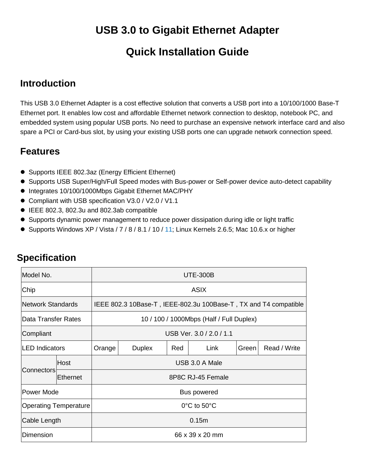# **USB 3.0 to Gigabit Ethernet Adapter**

# **Quick Installation Guide**

## **Introduction**

This USB 3.0 Ethernet Adapter is a cost effective solution that converts a USB port into a 10/100/1000 Base-T Ethernet port. It enables low cost and affordable Ethernet network connection to desktop, notebook PC, and embedded system using popular USB ports. No need to purchase an expensive network interface card and also spare a PCI or Card-bus slot, by using your existing USB ports one can upgrade network connection speed.

### **Features**

- Supports IEEE 802.3az (Energy Efficient Ethernet)
- Supports USB Super/High/Full Speed modes with Bus-power or Self-power device auto-detect capability
- $\bullet$  Integrates 10/100/1000Mbps Gigabit Ethernet MAC/PHY
- Compliant with USB specification V3.0 / V2.0 / V1.1
- IEEE 802.3, 802.3u and 802.3ab compatible
- Supports dynamic power management to reduce power dissipation during idle or light traffic
- Supports Windows XP / Vista / 7 / 8 / 8.1 / 10 / 11; Linux Kernels 2.6.5; Mac 10.6.x or higher

| Model No.                    |                   | <b>UTE-300B</b>                                                  |     |      |       |              |  |  |
|------------------------------|-------------------|------------------------------------------------------------------|-----|------|-------|--------------|--|--|
| Chip                         |                   | ASIX                                                             |     |      |       |              |  |  |
| <b>Network Standards</b>     |                   | IEEE 802.3 10Base-T, IEEE-802.3u 100Base-T, TX and T4 compatible |     |      |       |              |  |  |
| <b>Data Transfer Rates</b>   |                   | 10 / 100 / 1000Mbps (Half / Full Duplex)                         |     |      |       |              |  |  |
| Compliant                    |                   | USB Ver. 3.0 / 2.0 / 1.1                                         |     |      |       |              |  |  |
| <b>LED</b> Indicators        |                   | <b>Duplex</b>                                                    | Red | Link | Green | Read / Write |  |  |
| Host                         | USB 3.0 A Male    |                                                                  |     |      |       |              |  |  |
| <b>Ethernet</b>              | 8P8C RJ-45 Female |                                                                  |     |      |       |              |  |  |
| Power Mode                   |                   | Bus powered                                                      |     |      |       |              |  |  |
| <b>Operating Temperature</b> |                   | $0^{\circ}$ C to 50 $^{\circ}$ C                                 |     |      |       |              |  |  |
| Cable Length                 |                   | 0.15m                                                            |     |      |       |              |  |  |
| Dimension                    |                   | 66 x 39 x 20 mm                                                  |     |      |       |              |  |  |
| Connectors                   |                   | Orange                                                           |     |      |       |              |  |  |

# **Specification**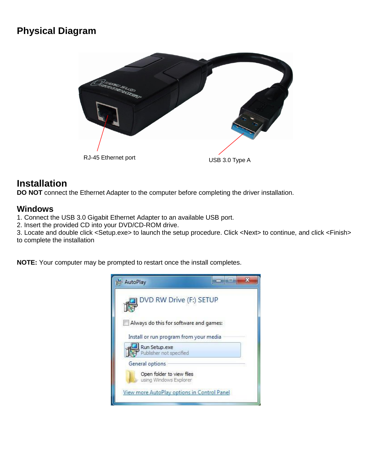## **Physical Diagram**



## **Installation**

**DO NOT** connect the Ethernet Adapter to the computer before completing the driver installation.

### **Windows**

1. Connect the USB 3.0 Gigabit Ethernet Adapter to an available USB port.

2. Insert the provided CD into your DVD/CD-ROM drive.

3. Locate and double click <Setup.exe> to launch the setup procedure. Click <Next> to continue, and click <Finish> to complete the installation

**NOTE:** Your computer may be prompted to restart once the install completes.

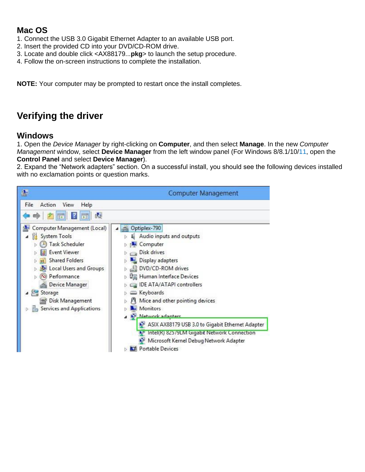### **Mac OS**

- 1. Connect the USB 3.0 Gigabit Ethernet Adapter to an available USB port.
- 2. Insert the provided CD into your DVD/CD-ROM drive.
- 3. Locate and double click <AX88179...**pkg**> to launch the setup procedure.
- 4. Follow the on-screen instructions to complete the installation.

**NOTE:** Your computer may be prompted to restart once the install completes.

## **Verifying the driver**

### **Windows**

1. Open the *Device Manager* by right-clicking on **Computer**, and then select **Manage**. In the new *Computer Management* window, select **Device Manager** from the left window panel (For Windows 8/8.1/10/11, open the **Control Panel** and select **Device Manager**).

2. Expand the "Network adapters" section. On a successful install, you should see the following devices installed with no exclamation points or question marks.

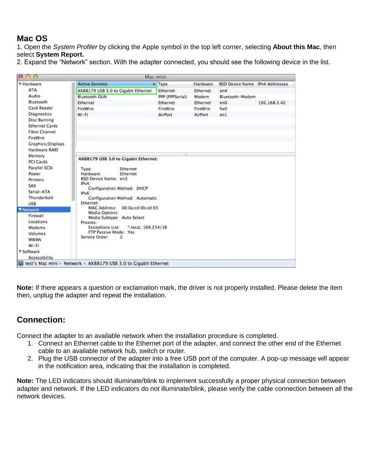### **Mac OS**

1. Open the *System Profiler* by clicking the Apple symbol in the top left corner, selecting **About this Mac**, then select **System Report.**

|  |  | 2. Expand the "Network" section. With the adapter connected, you should see the following device in the list. |  |  |
|--|--|---------------------------------------------------------------------------------------------------------------|--|--|
|  |  |                                                                                                               |  |  |
|  |  |                                                                                                               |  |  |

| ₩ Hardware            | <b>Active Services</b>                         | A Type          | Hardware        | <b>BSD Device Name IPv4 Addresses</b> |              |
|-----------------------|------------------------------------------------|-----------------|-----------------|---------------------------------------|--------------|
| ATA                   | AX88179 USB 3.0 to Gigabit Ethernet            | Ethernet        | Ethernet        | en4                                   |              |
| Audio                 | <b>Bluetooth DUN</b>                           | PPP (PPPSerial) | Modem           | Bluetooth-Modem                       |              |
| Bluetooth             | Ethernet                                       | Ethernet        | <b>Ethernet</b> | en0                                   | 192.168.5.42 |
| Card Reader           | FireWire                                       | FireWire        | FireWire        | fw0                                   |              |
| Diagnostics           | Wi-Fi                                          | AirPort         | <b>AirPort</b>  | en1                                   |              |
| <b>Disc Burning</b>   |                                                |                 |                 |                                       |              |
| <b>Ethernet Cards</b> |                                                |                 |                 |                                       |              |
| <b>Fibre Channel</b>  |                                                |                 |                 |                                       |              |
| FireWire              |                                                |                 |                 |                                       |              |
| Graphics/Displays     |                                                |                 |                 |                                       |              |
| Hardware RAID         |                                                |                 |                 |                                       |              |
| Memory                | AX88179 USB 3.0 to Gigabit Ethernet:           |                 |                 |                                       |              |
| PCI Cards             |                                                |                 |                 |                                       |              |
| Parallel SCSI         | Ethernet<br>Type:                              |                 |                 |                                       |              |
| Power                 | Hardware:<br>Ethernet                          |                 |                 |                                       |              |
| Printers              | BSD Device Name: en3                           |                 |                 |                                       |              |
| SAS                   | IPv4:<br>Configuration Method: DHCP            |                 |                 |                                       |              |
| Serial-ATA            | $IPv6$ :                                       |                 |                 |                                       |              |
| Thunderbolt           | Configuration Method: Automatic                |                 |                 |                                       |              |
| <b>USB</b>            | Ethernet:                                      |                 |                 |                                       |              |
| Network               | <b>MAC Address:</b><br>00:0a:cd:0b:cd:03       |                 |                 |                                       |              |
| Firewall              | Media Options:<br>Media Subtype: Auto Select   |                 |                 |                                       |              |
| Locations             | Proxies:                                       |                 |                 |                                       |              |
| Modems                | <b>Exceptions List:</b><br>*.local, 169.254/16 |                 |                 |                                       |              |
| Volumes               | FTP Passive Mode: Yes                          |                 |                 |                                       |              |
| <b>WWAN</b>           | Service Order:<br>2                            |                 |                 |                                       |              |
| $W_i - F_i$           |                                                |                 |                 |                                       |              |
| <b>▼ Software</b>     |                                                |                 |                 |                                       |              |
| Accessibility         |                                                |                 |                 |                                       |              |

**Note:** If there appears a question or exclamation mark, the driver is not properly installed. Please delete the item then, unplug the adapter and repeat the installation.

### **Connection:**

Connect the adapter to an available network when the installation procedure is completed.

- 1. Connect an Ethernet cable to the Ethernet port of the adapter, and connect the other end of the Ethernet cable to an available network hub, switch or router.
- 2. Plug the USB connector of the adapter into a free USB port of the computer. A pop-up message will appear in the notification area, indicating that the installation is completed.

**Note:** The LED indicators should illuminate/blink to implement successfully a proper physical connection between adapter and network. If the LED indicators do not illuminate/blink, please verify the cable connection between all the network devices.